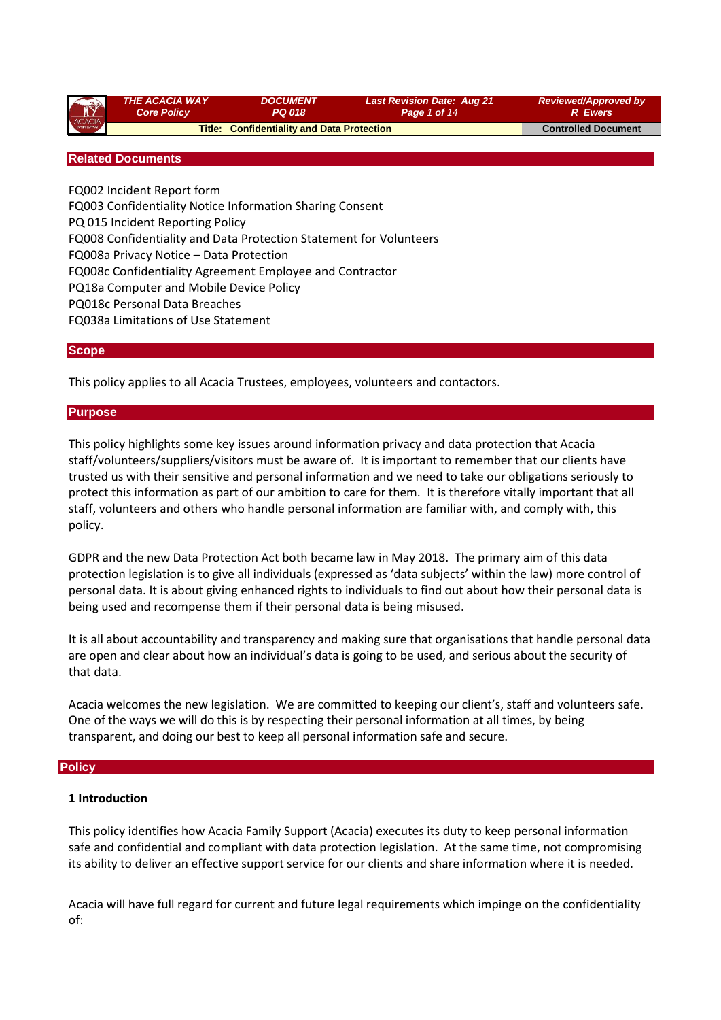| ACACIA | <b>THE ACACIA WAY</b><br><b>Core Policy</b> | <b>DOCUMENT</b><br><b>PQ 018</b>                  | <b>Last Revision Date: Aug 21</b><br>Page 1 of 14 | <b>Reviewed/Approved by</b><br><b>R</b> Ewers |
|--------|---------------------------------------------|---------------------------------------------------|---------------------------------------------------|-----------------------------------------------|
|        |                                             | <b>Title: Confidentiality and Data Protection</b> |                                                   | <b>Controlled Document</b>                    |
|        |                                             |                                                   |                                                   |                                               |

#### **Related Documents**

FQ002 Incident Report form FQ003 Confidentiality Notice Information Sharing Consent PQ 015 Incident Reporting Policy FQ008 Confidentiality and Data Protection Statement for Volunteers FQ008a Privacy Notice – Data Protection FQ008c Confidentiality Agreement Employee and Contractor PQ18a Computer and Mobile Device Policy PQ018c Personal Data Breaches FQ038a Limitations of Use Statement

#### **Scope**

This policy applies to all Acacia Trustees, employees, volunteers and contactors.

#### **Purpose**

This policy highlights some key issues around information privacy and data protection that Acacia staff/volunteers/suppliers/visitors must be aware of. It is important to remember that our clients have trusted us with their sensitive and personal information and we need to take our obligations seriously to protect this information as part of our ambition to care for them. It is therefore vitally important that all staff, volunteers and others who handle personal information are familiar with, and comply with, this policy.

GDPR and the new Data Protection Act both became law in May 2018. The primary aim of this data protection legislation is to give all individuals (expressed as 'data subjects' within the law) more control of personal data. It is about giving enhanced rights to individuals to find out about how their personal data is being used and recompense them if their personal data is being misused.

It is all about accountability and transparency and making sure that organisations that handle personal data are open and clear about how an individual's data is going to be used, and serious about the security of that data.

Acacia welcomes the new legislation. We are committed to keeping our client's, staff and volunteers safe. One of the ways we will do this is by respecting their personal information at all times, by being transparent, and doing our best to keep all personal information safe and secure.

#### **Policy**

#### **1 Introduction**

This policy identifies how Acacia Family Support (Acacia) executes its duty to keep personal information safe and confidential and compliant with data protection legislation. At the same time, not compromising its ability to deliver an effective support service for our clients and share information where it is needed.

Acacia will have full regard for current and future legal requirements which impinge on the confidentiality of: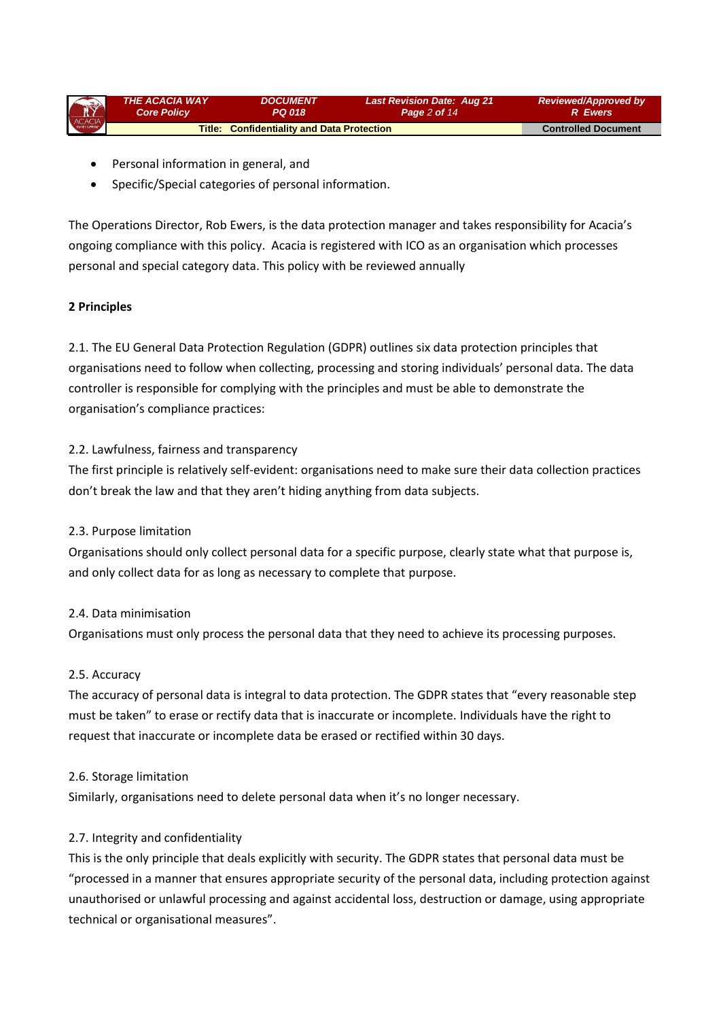| ACACIA | THE ACACIA WAY     | <i><b>DOCUMENT</b></i>                            | <b>Last Revision Date: Aug 21</b> | <b>Reviewed/Approved by</b> |
|--------|--------------------|---------------------------------------------------|-----------------------------------|-----------------------------|
|        | <b>Core Policy</b> | PQ 018                                            | Page 2 of 14                      | <b>R</b> Ewers              |
|        |                    | <b>Title: Confidentiality and Data Protection</b> |                                   | <b>Controlled Document</b>  |

- Personal information in general, and
- Specific/Special categories of personal information.

The Operations Director, Rob Ewers, is the data protection manager and takes responsibility for Acacia's ongoing compliance with this policy. Acacia is registered with ICO as an organisation which processes personal and special category data. This policy with be reviewed annually

# **2 Principles**

2.1. The EU General Data Protection Regulation (GDPR) outlines six data protection principles that organisations need to follow when collecting, processing and storing individuals' personal data. The data controller is responsible for complying with the principles and must be able to demonstrate the organisation's compliance practices:

#### 2.2. Lawfulness, fairness and transparency

The first principle is relatively self-evident: organisations need to make sure their data collection practices don't break the law and that they aren't hiding anything from data subjects.

# 2.3. Purpose limitation

Organisations should only collect personal data for a specific purpose, clearly state what that purpose is, and only collect data for as long as necessary to complete that purpose.

#### 2.4. Data minimisation

Organisations must only process the personal data that they need to achieve its processing purposes.

# 2.5. Accuracy

The accuracy of personal data is integral to data protection. The GDPR states that "every reasonable step must be taken" to erase or rectify data that is inaccurate or incomplete. Individuals have the right to request that inaccurate or incomplete data be erased or rectified within 30 days.

#### 2.6. Storage limitation

Similarly, organisations need to delete personal data when it's no longer necessary.

# 2.7. Integrity and confidentiality

This is the only principle that deals explicitly with security. The GDPR states that personal data must be "processed in a manner that ensures appropriate security of the personal data, including protection against unauthorised or unlawful processing and against accidental loss, destruction or damage, using appropriate technical or organisational measures".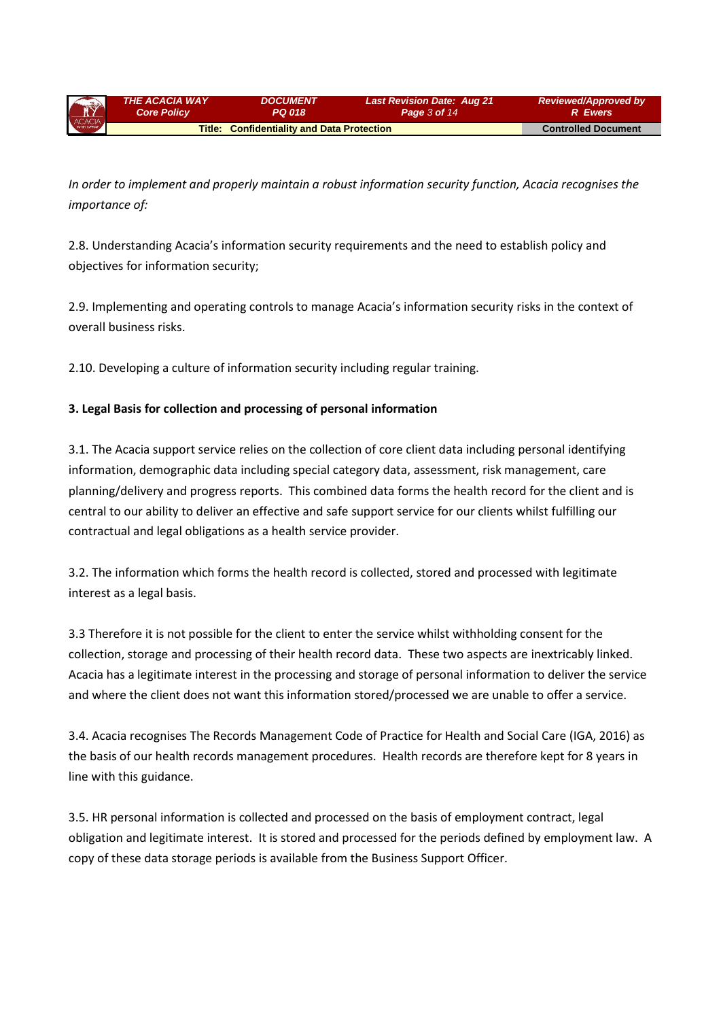| ACACIA | <b>THE ACACIA WAY</b>                             | <i><b>DOCUMENT</b></i> | <b>Last Revision Date: Aug 21</b> | <b>Reviewed/Approved by</b> |
|--------|---------------------------------------------------|------------------------|-----------------------------------|-----------------------------|
|        | <b>Core Policy</b>                                | PQ 018                 | Page 3 of 14                      | <b>R</b> Ewers              |
|        | <b>Title: Confidentiality and Data Protection</b> |                        |                                   | <b>Controlled Document</b>  |

*In order to implement and properly maintain a robust information security function, Acacia recognises the importance of:*

2.8. Understanding Acacia's information security requirements and the need to establish policy and objectives for information security;

2.9. Implementing and operating controls to manage Acacia's information security risks in the context of overall business risks.

2.10. Developing a culture of information security including regular training.

# **3. Legal Basis for collection and processing of personal information**

3.1. The Acacia support service relies on the collection of core client data including personal identifying information, demographic data including special category data, assessment, risk management, care planning/delivery and progress reports. This combined data forms the health record for the client and is central to our ability to deliver an effective and safe support service for our clients whilst fulfilling our contractual and legal obligations as a health service provider.

3.2. The information which forms the health record is collected, stored and processed with legitimate interest as a legal basis.

3.3 Therefore it is not possible for the client to enter the service whilst withholding consent for the collection, storage and processing of their health record data. These two aspects are inextricably linked. Acacia has a legitimate interest in the processing and storage of personal information to deliver the service and where the client does not want this information stored/processed we are unable to offer a service.

3.4. Acacia recognises The Records Management Code of Practice for Health and Social Care (IGA, 2016) as the basis of our health records management procedures. Health records are therefore kept for 8 years in line with this guidance.

3.5. HR personal information is collected and processed on the basis of employment contract, legal obligation and legitimate interest. It is stored and processed for the periods defined by employment law. A copy of these data storage periods is available from the Business Support Officer.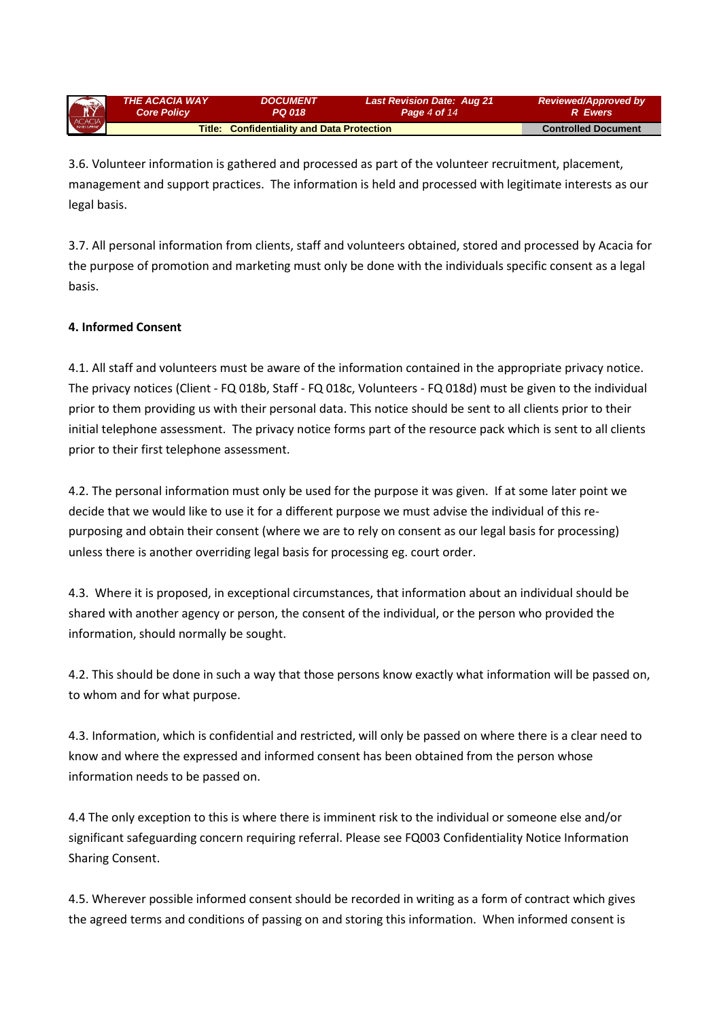| ACACIA | <b>THE ACACIA WAY</b> | <b>DOCUMENT</b>                                   | <b>Last Revision Date: Aug 21</b> | <b>Reviewed/Approved by</b> |
|--------|-----------------------|---------------------------------------------------|-----------------------------------|-----------------------------|
|        | <b>Core Policy</b>    | PQ 018                                            | Page 4 of 14                      | <b>R</b> Ewers              |
|        |                       | <b>Title: Confidentiality and Data Protection</b> |                                   | <b>Controlled Document</b>  |

3.6. Volunteer information is gathered and processed as part of the volunteer recruitment, placement, management and support practices. The information is held and processed with legitimate interests as our legal basis.

3.7. All personal information from clients, staff and volunteers obtained, stored and processed by Acacia for the purpose of promotion and marketing must only be done with the individuals specific consent as a legal basis.

# **4. Informed Consent**

4.1. All staff and volunteers must be aware of the information contained in the appropriate privacy notice. The privacy notices (Client - FQ 018b, Staff - FQ 018c, Volunteers - FQ 018d) must be given to the individual prior to them providing us with their personal data. This notice should be sent to all clients prior to their initial telephone assessment. The privacy notice forms part of the resource pack which is sent to all clients prior to their first telephone assessment.

4.2. The personal information must only be used for the purpose it was given. If at some later point we decide that we would like to use it for a different purpose we must advise the individual of this repurposing and obtain their consent (where we are to rely on consent as our legal basis for processing) unless there is another overriding legal basis for processing eg. court order.

4.3. Where it is proposed, in exceptional circumstances, that information about an individual should be shared with another agency or person, the consent of the individual, or the person who provided the information, should normally be sought.

4.2. This should be done in such a way that those persons know exactly what information will be passed on, to whom and for what purpose.

4.3. Information, which is confidential and restricted, will only be passed on where there is a clear need to know and where the expressed and informed consent has been obtained from the person whose information needs to be passed on.

4.4 The only exception to this is where there is imminent risk to the individual or someone else and/or significant safeguarding concern requiring referral. Please see FQ003 Confidentiality Notice Information Sharing Consent.

4.5. Wherever possible informed consent should be recorded in writing as a form of contract which gives the agreed terms and conditions of passing on and storing this information. When informed consent is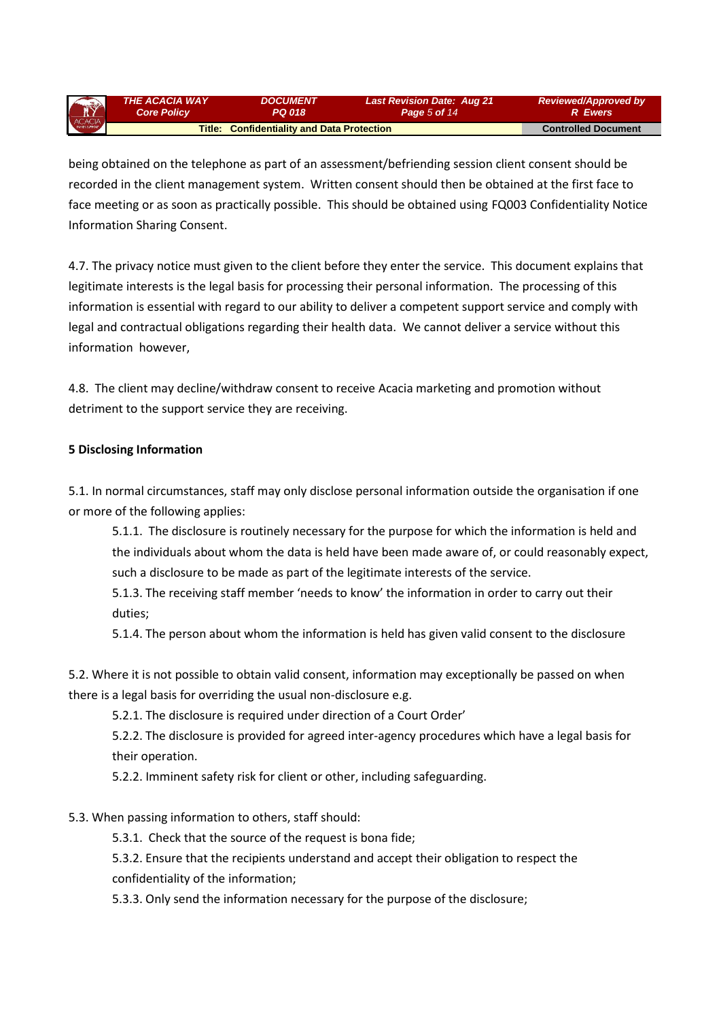*THE ACACIA WAY Core Policy DOCUMENT PQ 018 Last Revision Date: Aug 21 Page 5 of 14 Reviewed/Approved by R Ewers* **Title: Confidentiality and Data Protection <b>Controlled Document Controlled Document** 

being obtained on the telephone as part of an assessment/befriending session client consent should be recorded in the client management system. Written consent should then be obtained at the first face to face meeting or as soon as practically possible. This should be obtained using FQ003 Confidentiality Notice Information Sharing Consent.

4.7. The privacy notice must given to the client before they enter the service. This document explains that legitimate interests is the legal basis for processing their personal information. The processing of this information is essential with regard to our ability to deliver a competent support service and comply with legal and contractual obligations regarding their health data. We cannot deliver a service without this information however,

4.8. The client may decline/withdraw consent to receive Acacia marketing and promotion without detriment to the support service they are receiving.

#### **5 Disclosing Information**

5.1. In normal circumstances, staff may only disclose personal information outside the organisation if one or more of the following applies:

5.1.1. The disclosure is routinely necessary for the purpose for which the information is held and the individuals about whom the data is held have been made aware of, or could reasonably expect, such a disclosure to be made as part of the legitimate interests of the service.

5.1.3. The receiving staff member 'needs to know' the information in order to carry out their duties;

5.1.4. The person about whom the information is held has given valid consent to the disclosure

5.2. Where it is not possible to obtain valid consent, information may exceptionally be passed on when there is a legal basis for overriding the usual non-disclosure e.g.

5.2.1. The disclosure is required under direction of a Court Order'

5.2.2. The disclosure is provided for agreed inter-agency procedures which have a legal basis for their operation.

5.2.2. Imminent safety risk for client or other, including safeguarding.

# 5.3. When passing information to others, staff should:

5.3.1. Check that the source of the request is bona fide;

5.3.2. Ensure that the recipients understand and accept their obligation to respect the confidentiality of the information;

5.3.3. Only send the information necessary for the purpose of the disclosure;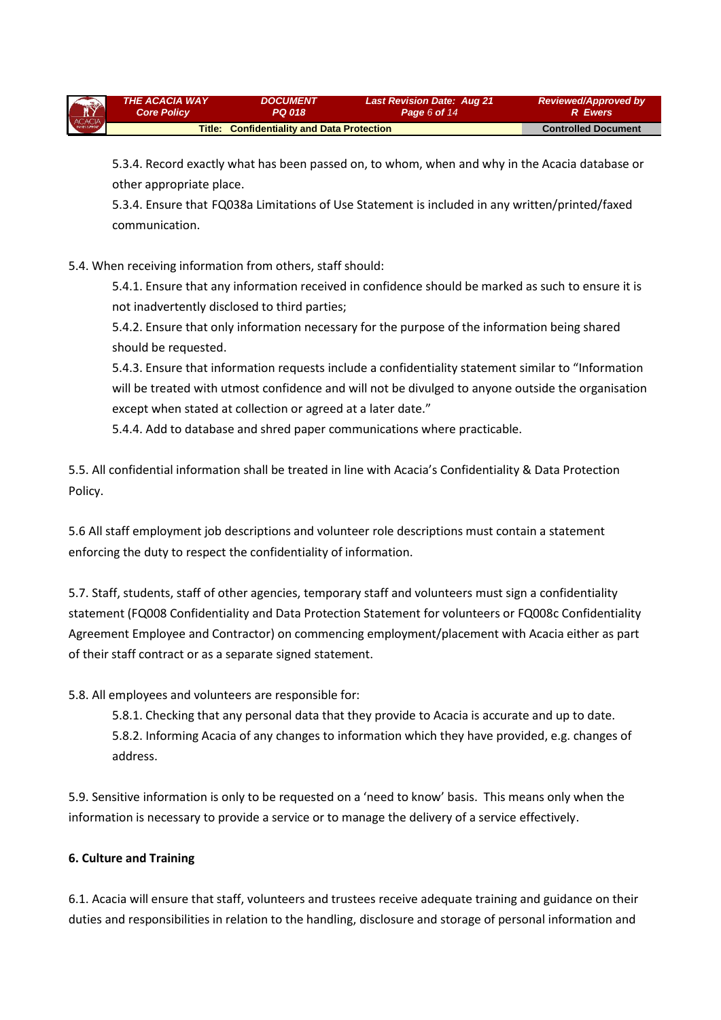| ACACIA | <b>THE ACACIA WAY</b> | <i><b>DOCUMENT</b></i>                            | <b>Last Revision Date: Aug 21</b> | <b>Reviewed/Approved by</b> |
|--------|-----------------------|---------------------------------------------------|-----------------------------------|-----------------------------|
|        | <b>Core Policy</b>    | PQ 018.                                           | Page 6 of $14$                    | <b>R</b> Ewers              |
|        |                       | <b>Title: Confidentiality and Data Protection</b> |                                   | <b>Controlled Document</b>  |

5.3.4. Record exactly what has been passed on, to whom, when and why in the Acacia database or other appropriate place.

5.3.4. Ensure that FQ038a Limitations of Use Statement is included in any written/printed/faxed communication.

# 5.4. When receiving information from others, staff should:

5.4.1. Ensure that any information received in confidence should be marked as such to ensure it is not inadvertently disclosed to third parties;

5.4.2. Ensure that only information necessary for the purpose of the information being shared should be requested.

5.4.3. Ensure that information requests include a confidentiality statement similar to "Information will be treated with utmost confidence and will not be divulged to anyone outside the organisation except when stated at collection or agreed at a later date."

5.4.4. Add to database and shred paper communications where practicable.

5.5. All confidential information shall be treated in line with Acacia's Confidentiality & Data Protection Policy.

5.6 All staff employment job descriptions and volunteer role descriptions must contain a statement enforcing the duty to respect the confidentiality of information.

5.7. Staff, students, staff of other agencies, temporary staff and volunteers must sign a confidentiality statement (FQ008 Confidentiality and Data Protection Statement for volunteers or FQ008c Confidentiality Agreement Employee and Contractor) on commencing employment/placement with Acacia either as part of their staff contract or as a separate signed statement.

5.8. All employees and volunteers are responsible for:

5.8.1. Checking that any personal data that they provide to Acacia is accurate and up to date. 5.8.2. Informing Acacia of any changes to information which they have provided, e.g. changes of address.

5.9. Sensitive information is only to be requested on a 'need to know' basis. This means only when the information is necessary to provide a service or to manage the delivery of a service effectively.

# **6. Culture and Training**

6.1. Acacia will ensure that staff, volunteers and trustees receive adequate training and guidance on their duties and responsibilities in relation to the handling, disclosure and storage of personal information and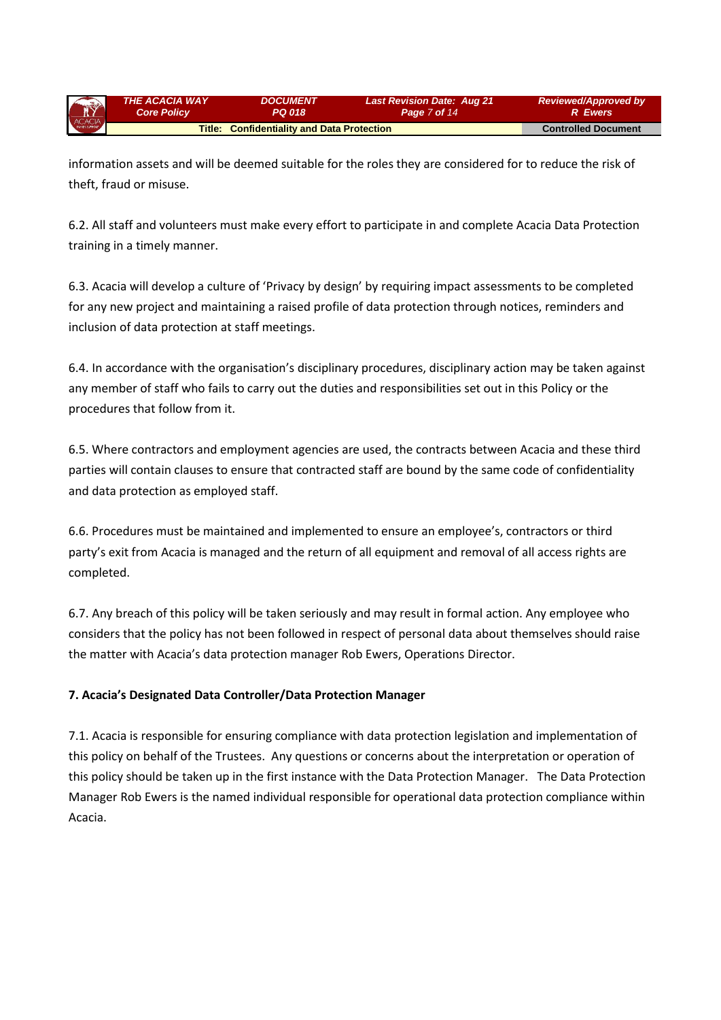| ACACIA | <b>THE ACACIA WAY</b>                             | <b>DOCUMENT</b> | <b>Last Revision Date: Aug 21</b> | <b>Reviewed/Approved by</b> |
|--------|---------------------------------------------------|-----------------|-----------------------------------|-----------------------------|
|        | <b>Core Policy</b>                                | PQ 018          | Page 7 of 14                      | R Ewers                     |
|        | <b>Title: Confidentiality and Data Protection</b> |                 |                                   | <b>Controlled Document</b>  |

information assets and will be deemed suitable for the roles they are considered for to reduce the risk of theft, fraud or misuse.

6.2. All staff and volunteers must make every effort to participate in and complete Acacia Data Protection training in a timely manner.

6.3. Acacia will develop a culture of 'Privacy by design' by requiring impact assessments to be completed for any new project and maintaining a raised profile of data protection through notices, reminders and inclusion of data protection at staff meetings.

6.4. In accordance with the organisation's disciplinary procedures, disciplinary action may be taken against any member of staff who fails to carry out the duties and responsibilities set out in this Policy or the procedures that follow from it.

6.5. Where contractors and employment agencies are used, the contracts between Acacia and these third parties will contain clauses to ensure that contracted staff are bound by the same code of confidentiality and data protection as employed staff.

6.6. Procedures must be maintained and implemented to ensure an employee's, contractors or third party's exit from Acacia is managed and the return of all equipment and removal of all access rights are completed.

6.7. Any breach of this policy will be taken seriously and may result in formal action. Any employee who considers that the policy has not been followed in respect of personal data about themselves should raise the matter with Acacia's data protection manager Rob Ewers, Operations Director.

# **7. Acacia's Designated Data Controller/Data Protection Manager**

7.1. Acacia is responsible for ensuring compliance with data protection legislation and implementation of this policy on behalf of the Trustees. Any questions or concerns about the interpretation or operation of this policy should be taken up in the first instance with the Data Protection Manager. The Data Protection Manager Rob Ewers is the named individual responsible for operational data protection compliance within Acacia.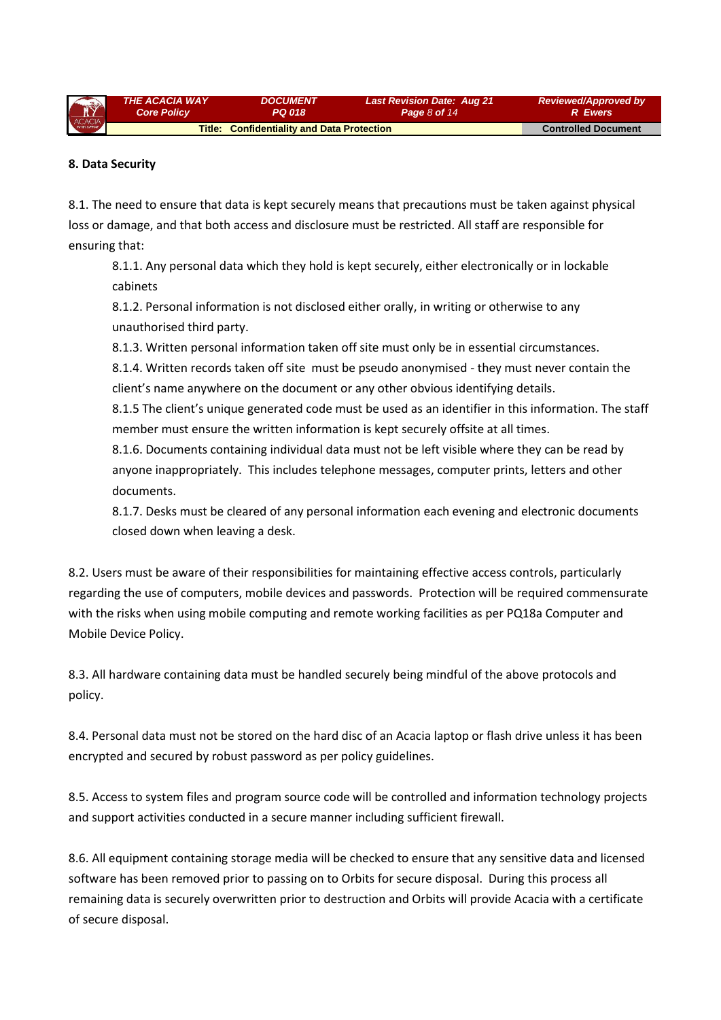| ACACIA | <b>THE ACACIA WAY</b>                             | <i><b>DOCUMENT</b></i> | <b>Last Revision Date: Aug 21</b> | <b>Reviewed/Approved by</b> |
|--------|---------------------------------------------------|------------------------|-----------------------------------|-----------------------------|
|        | <b>Core Policy</b>                                | PQ 018                 | Page $8$ of 14                    | <b>R</b> Ewers              |
|        | <b>Title: Confidentiality and Data Protection</b> |                        |                                   | <b>Controlled Document</b>  |

#### **8. Data Security**

8.1. The need to ensure that data is kept securely means that precautions must be taken against physical loss or damage, and that both access and disclosure must be restricted. All staff are responsible for ensuring that:

8.1.1. Any personal data which they hold is kept securely, either electronically or in lockable cabinets

8.1.2. Personal information is not disclosed either orally, in writing or otherwise to any unauthorised third party.

8.1.3. Written personal information taken off site must only be in essential circumstances.

8.1.4. Written records taken off site must be pseudo anonymised - they must never contain the client's name anywhere on the document or any other obvious identifying details.

8.1.5 The client's unique generated code must be used as an identifier in this information. The staff member must ensure the written information is kept securely offsite at all times.

8.1.6. Documents containing individual data must not be left visible where they can be read by anyone inappropriately. This includes telephone messages, computer prints, letters and other documents.

8.1.7. Desks must be cleared of any personal information each evening and electronic documents closed down when leaving a desk.

8.2. Users must be aware of their responsibilities for maintaining effective access controls, particularly regarding the use of computers, mobile devices and passwords. Protection will be required commensurate with the risks when using mobile computing and remote working facilities as per PQ18a Computer and Mobile Device Policy.

8.3. All hardware containing data must be handled securely being mindful of the above protocols and policy.

8.4. Personal data must not be stored on the hard disc of an Acacia laptop or flash drive unless it has been encrypted and secured by robust password as per policy guidelines.

8.5. Access to system files and program source code will be controlled and information technology projects and support activities conducted in a secure manner including sufficient firewall.

8.6. All equipment containing storage media will be checked to ensure that any sensitive data and licensed software has been removed prior to passing on to Orbits for secure disposal. During this process all remaining data is securely overwritten prior to destruction and Orbits will provide Acacia with a certificate of secure disposal.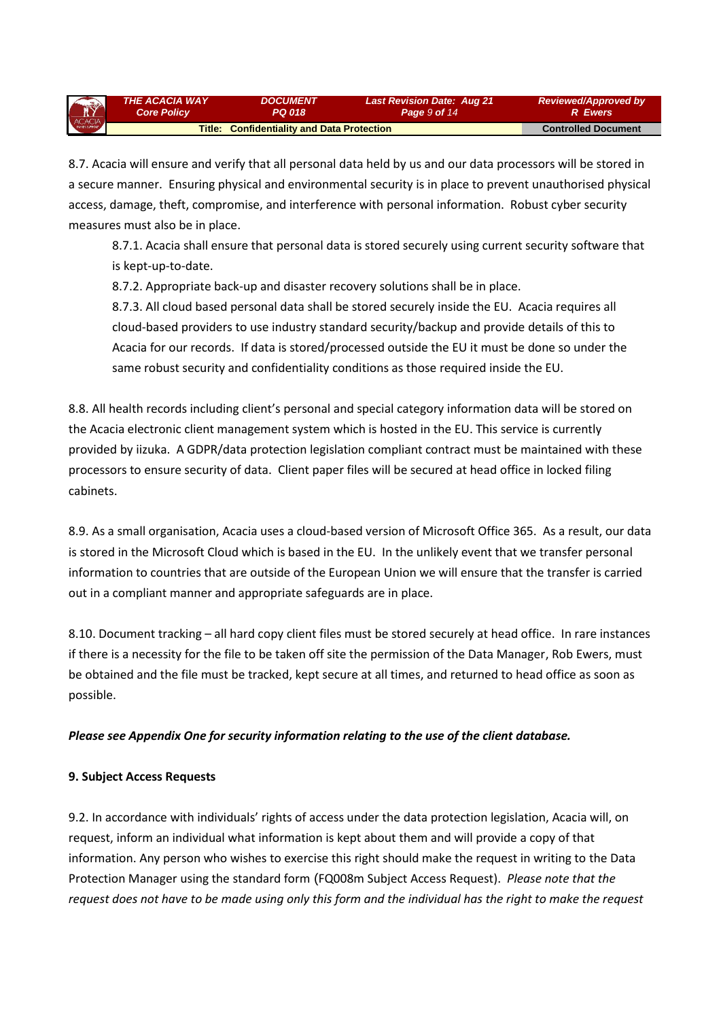| R      | THE ACACIA WAY     | <i><b>DOCUMENT</b></i>                            | <b>Last Revision Date: Aug 21</b> | <b>Reviewed/Approved by</b> |
|--------|--------------------|---------------------------------------------------|-----------------------------------|-----------------------------|
|        | <b>Core Policy</b> | <b>PQ 018</b>                                     | Page 9 of 14                      | <b>R</b> Ewers              |
| ACACIA |                    | <b>Title: Confidentiality and Data Protection</b> |                                   | <b>Controlled Document</b>  |

8.7. Acacia will ensure and verify that all personal data held by us and our data processors will be stored in a secure manner. Ensuring physical and environmental security is in place to prevent unauthorised physical access, damage, theft, compromise, and interference with personal information. Robust cyber security measures must also be in place.

8.7.1. Acacia shall ensure that personal data is stored securely using current security software that is kept-up-to-date.

8.7.2. Appropriate back-up and disaster recovery solutions shall be in place.

8.7.3. All cloud based personal data shall be stored securely inside the EU. Acacia requires all cloud-based providers to use industry standard security/backup and provide details of this to Acacia for our records. If data is stored/processed outside the EU it must be done so under the same robust security and confidentiality conditions as those required inside the EU.

8.8. All health records including client's personal and special category information data will be stored on the Acacia electronic client management system which is hosted in the EU. This service is currently provided by iizuka. A GDPR/data protection legislation compliant contract must be maintained with these processors to ensure security of data. Client paper files will be secured at head office in locked filing cabinets.

8.9. As a small organisation, Acacia uses a cloud-based version of Microsoft Office 365. As a result, our data is stored in the Microsoft Cloud which is based in the EU. In the unlikely event that we transfer personal information to countries that are outside of the European Union we will ensure that the transfer is carried out in a compliant manner and appropriate safeguards are in place.

8.10. Document tracking – all hard copy client files must be stored securely at head office. In rare instances if there is a necessity for the file to be taken off site the permission of the Data Manager, Rob Ewers, must be obtained and the file must be tracked, kept secure at all times, and returned to head office as soon as possible.

# *Please see Appendix One for security information relating to the use of the client database.*

# **9. Subject Access Requests**

9.2. In accordance with individuals' rights of access under the data protection legislation, Acacia will, on request, inform an individual what information is kept about them and will provide a copy of that information. Any person who wishes to exercise this right should make the request in writing to the Data Protection Manager using the standard form (FQ008m Subject Access Request). *Please note that the request does not have to be made using only this form and the individual has the right to make the request*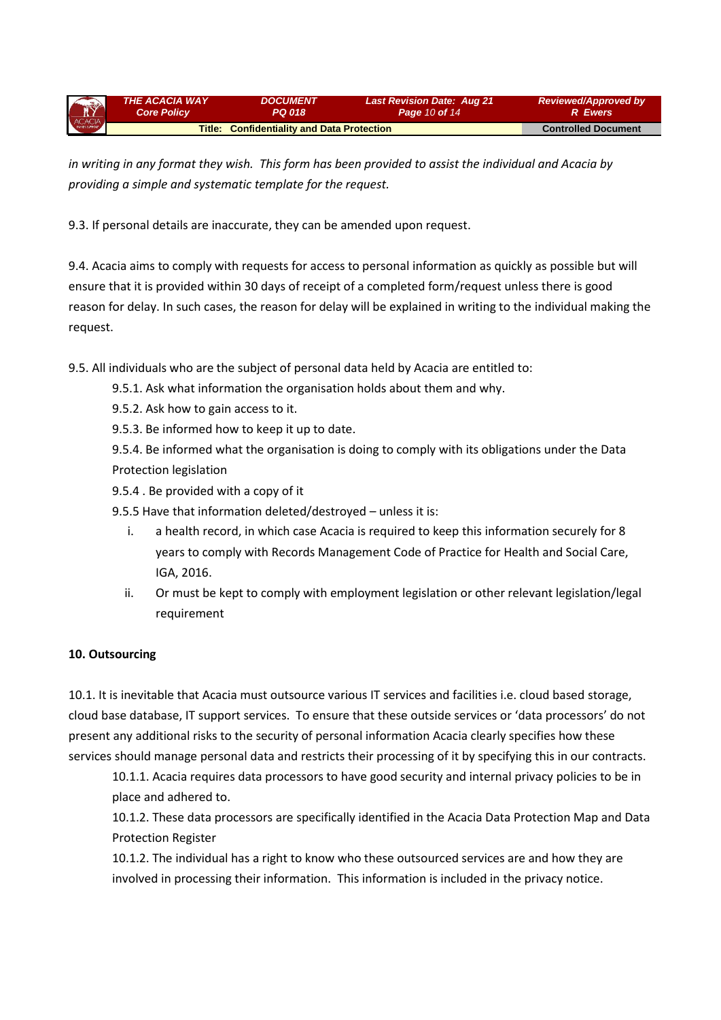| ACACIA | <b>THE ACACIA WAY</b>                             | <i><b>DOCUMENT</b></i> | <b>Last Revision Date: Aug 21</b> | <b>Reviewed/Approved by</b> |
|--------|---------------------------------------------------|------------------------|-----------------------------------|-----------------------------|
|        | <b>Core Policy</b>                                | PQ 018                 | <b>Page 10 of 14</b>              | <b>R</b> Ewers              |
|        | <b>Title: Confidentiality and Data Protection</b> |                        |                                   | <b>Controlled Document</b>  |

*in writing in any format they wish. This form has been provided to assist the individual and Acacia by providing a simple and systematic template for the request.*

9.3. If personal details are inaccurate, they can be amended upon request.

9.4. Acacia aims to comply with requests for access to personal information as quickly as possible but will ensure that it is provided within 30 days of receipt of a completed form/request unless there is good reason for delay. In such cases, the reason for delay will be explained in writing to the individual making the request.

9.5. All individuals who are the subject of personal data held by Acacia are entitled to:

- 9.5.1. Ask what information the organisation holds about them and why.
- 9.5.2. Ask how to gain access to it.
- 9.5.3. Be informed how to keep it up to date.

9.5.4. Be informed what the organisation is doing to comply with its obligations under the Data Protection legislation

9.5.4 . Be provided with a copy of it

9.5.5 Have that information deleted/destroyed – unless it is:

- i. a health record, in which case Acacia is required to keep this information securely for 8 years to comply with Records Management Code of Practice for Health and Social Care, IGA, 2016.
- ii. Or must be kept to comply with employment legislation or other relevant legislation/legal requirement

#### **10. Outsourcing**

10.1. It is inevitable that Acacia must outsource various IT services and facilities i.e. cloud based storage, cloud base database, IT support services. To ensure that these outside services or 'data processors' do not present any additional risks to the security of personal information Acacia clearly specifies how these services should manage personal data and restricts their processing of it by specifying this in our contracts.

10.1.1. Acacia requires data processors to have good security and internal privacy policies to be in place and adhered to.

10.1.2. These data processors are specifically identified in the Acacia Data Protection Map and Data Protection Register

10.1.2. The individual has a right to know who these outsourced services are and how they are involved in processing their information. This information is included in the privacy notice.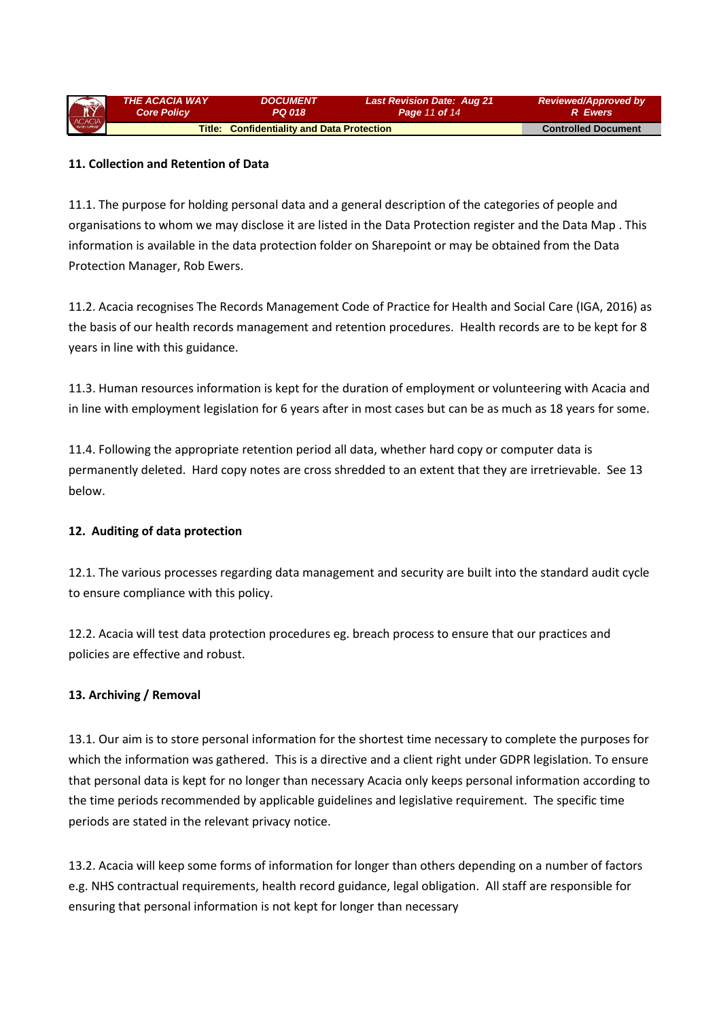| ACACIA | <b>THE ACACIA WAY</b>                             | <i><b>DOCUMENT</b></i> | <b>Last Revision Date: Aug 21</b> | <b>Reviewed/Approved by</b> |
|--------|---------------------------------------------------|------------------------|-----------------------------------|-----------------------------|
|        | <b>Core Policy</b>                                | PQ 018                 | <b>Page 11 of 14</b>              | <b>R</b> Ewers              |
|        | <b>Title: Confidentiality and Data Protection</b> |                        |                                   | <b>Controlled Document</b>  |

### **11. Collection and Retention of Data**

11.1. The purpose for holding personal data and a general description of the categories of people and organisations to whom we may disclose it are listed in the Data Protection register and the Data Map . This information is available in the data protection folder on Sharepoint or may be obtained from the Data Protection Manager, Rob Ewers.

11.2. Acacia recognises The Records Management Code of Practice for Health and Social Care (IGA, 2016) as the basis of our health records management and retention procedures. Health records are to be kept for 8 years in line with this guidance.

11.3. Human resources information is kept for the duration of employment or volunteering with Acacia and in line with employment legislation for 6 years after in most cases but can be as much as 18 years for some.

11.4. Following the appropriate retention period all data, whether hard copy or computer data is permanently deleted. Hard copy notes are cross shredded to an extent that they are irretrievable. See 13 below.

#### **12. Auditing of data protection**

12.1. The various processes regarding data management and security are built into the standard audit cycle to ensure compliance with this policy.

12.2. Acacia will test data protection procedures eg. breach process to ensure that our practices and policies are effective and robust.

# **13. Archiving / Removal**

13.1. Our aim is to store personal information for the shortest time necessary to complete the purposes for which the information was gathered. This is a directive and a client right under GDPR legislation. To ensure that personal data is kept for no longer than necessary Acacia only keeps personal information according to the time periods recommended by applicable guidelines and legislative requirement. The specific time periods are stated in the relevant privacy notice.

13.2. Acacia will keep some forms of information for longer than others depending on a number of factors e.g. NHS contractual requirements, health record guidance, legal obligation. All staff are responsible for ensuring that personal information is not kept for longer than necessary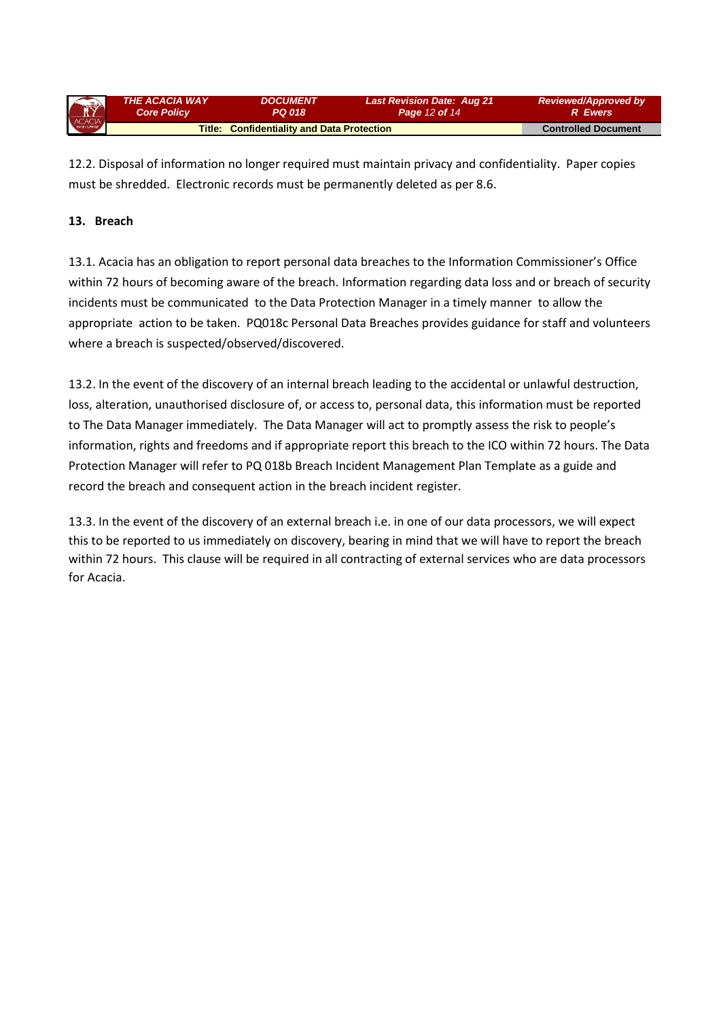| ACACIA | <b>THE ACACIA WAY</b> | <i><b>DOCUMENT</b></i>                            | Last Revision Date: Aug 21 | <b>Reviewed/Approved by</b> |
|--------|-----------------------|---------------------------------------------------|----------------------------|-----------------------------|
|        | <b>Core Policy</b>    | PQ 018                                            | <b>Page 12 of 14</b>       | R Ewers                     |
|        |                       | <b>Title: Confidentiality and Data Protection</b> |                            | <b>Controlled Document</b>  |

12.2. Disposal of information no longer required must maintain privacy and confidentiality. Paper copies must be shredded. Electronic records must be permanently deleted as per 8.6.

### **13. Breach**

13.1. Acacia has an obligation to report personal data breaches to the Information Commissioner's Office within 72 hours of becoming aware of the breach. Information regarding data loss and or breach of security incidents must be communicated to the Data Protection Manager in a timely manner to allow the appropriate action to be taken. PQ018c Personal Data Breaches provides guidance for staff and volunteers where a breach is suspected/observed/discovered.

13.2. In the event of the discovery of an internal breach leading to the accidental or unlawful destruction, loss, alteration, unauthorised disclosure of, or access to, personal data, this information must be reported to The Data Manager immediately. The Data Manager will act to promptly assess the risk to people's information, rights and freedoms and if appropriate report this breach to the ICO within 72 hours. The Data Protection Manager will refer to PQ 018b Breach Incident Management Plan Template as a guide and record the breach and consequent action in the breach incident register.

13.3. In the event of the discovery of an external breach i.e. in one of our data processors, we will expect this to be reported to us immediately on discovery, bearing in mind that we will have to report the breach within 72 hours. This clause will be required in all contracting of external services who are data processors for Acacia.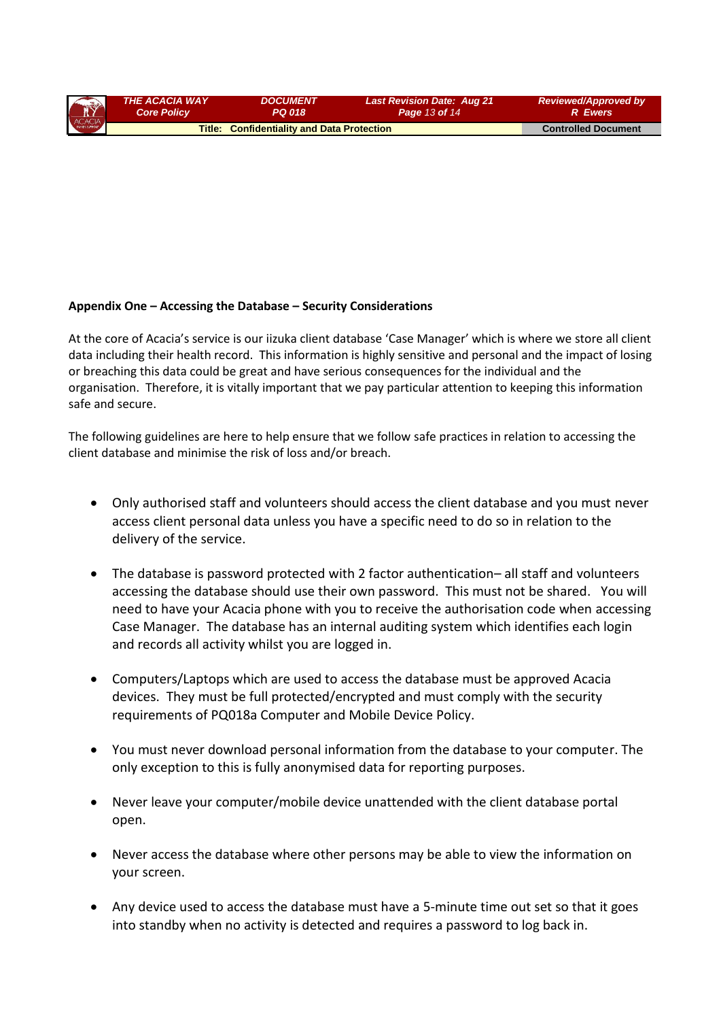| ACACIA | <b>THE ACACIA WAY</b>                             | <b>DOCUMENT</b> | <b>Last Revision Date: Aug 21</b> | <b>Reviewed/Approved by</b> |
|--------|---------------------------------------------------|-----------------|-----------------------------------|-----------------------------|
|        | <b>Core Policy</b>                                | PQ 018          | <b>Page 13 of 14</b>              | <b>R</b> Ewers              |
|        | <b>Title: Confidentiality and Data Protection</b> |                 |                                   | <b>Controlled Document</b>  |

#### **Appendix One – Accessing the Database – Security Considerations**

At the core of Acacia's service is our iizuka client database 'Case Manager' which is where we store all client data including their health record. This information is highly sensitive and personal and the impact of losing or breaching this data could be great and have serious consequences for the individual and the organisation. Therefore, it is vitally important that we pay particular attention to keeping this information safe and secure.

The following guidelines are here to help ensure that we follow safe practices in relation to accessing the client database and minimise the risk of loss and/or breach.

- Only authorised staff and volunteers should access the client database and you must never access client personal data unless you have a specific need to do so in relation to the delivery of the service.
- The database is password protected with 2 factor authentication– all staff and volunteers accessing the database should use their own password. This must not be shared. You will need to have your Acacia phone with you to receive the authorisation code when accessing Case Manager. The database has an internal auditing system which identifies each login and records all activity whilst you are logged in.
- Computers/Laptops which are used to access the database must be approved Acacia devices. They must be full protected/encrypted and must comply with the security requirements of PQ018a Computer and Mobile Device Policy.
- You must never download personal information from the database to your computer. The only exception to this is fully anonymised data for reporting purposes.
- Never leave your computer/mobile device unattended with the client database portal open.
- Never access the database where other persons may be able to view the information on your screen.
- Any device used to access the database must have a 5-minute time out set so that it goes into standby when no activity is detected and requires a password to log back in.